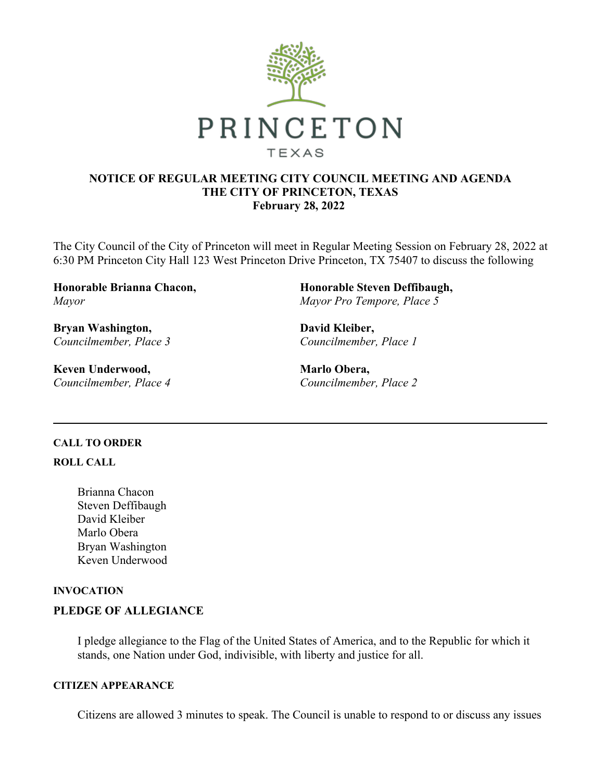

## **NOTICE OF REGULAR MEETING CITY COUNCIL MEETING AND AGENDA THE CITY OF PRINCETON, TEXAS February 28, 2022**

The City Council of the City of Princeton will meet in Regular Meeting Session on February 28, 2022 at 6:30 PM Princeton City Hall 123 West Princeton Drive Princeton, TX 75407 to discuss the following

**Honorable Brianna Chacon,**  *Mayor*

**Bryan Washington,**  *Councilmember, Place 3*

**Keven Underwood,**  *Councilmember, Place 4* **Honorable Steven Deffibaugh,**  *Mayor Pro Tempore, Place 5*

**David Kleiber,**  *Councilmember, Place 1*

**Marlo Obera,**  *Councilmember, Place 2*

## **CALL TO ORDER**

**ROLL CALL**

Brianna Chacon Steven Deffibaugh David Kleiber Marlo Obera Bryan Washington Keven Underwood

## **INVOCATION**

## **PLEDGE OF ALLEGIANCE**

I pledge allegiance to the Flag of the United States of America, and to the Republic for which it stands, one Nation under God, indivisible, with liberty and justice for all.

## **CITIZEN APPEARANCE**

Citizens are allowed 3 minutes to speak. The Council is unable to respond to or discuss any issues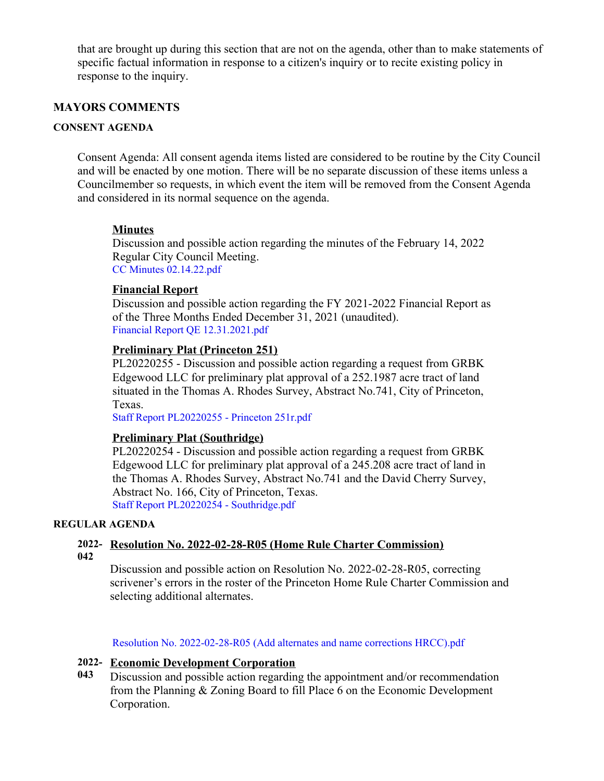that are brought up during this section that are not on the agenda, other than to make statements of specific factual information in response to a citizen's inquiry or to recite existing policy in response to the inquiry.

## **MAYORS COMMENTS**

## **CONSENT AGENDA**

Consent Agenda: All consent agenda items listed are considered to be routine by the City Council and will be enacted by one motion. There will be no separate discussion of these items unless a Councilmember so requests, in which event the item will be removed from the Consent Agenda and considered in its normal sequence on the agenda.

## **Minutes**

Discussion and possible action regarding the minutes of the February 14, 2022 Regular City Council Meeting. [CC Minutes 02.14.22.pdf](https://legistarweb-production.s3.amazonaws.com/uploads/attachment/pdf/1263242/CC_Minutes_02.14.22.pdf)

### **Financial Report**

Discussion and possible action regarding the FY 2021-2022 Financial Report as of the Three Months Ended December 31, 2021 (unaudited). [Financial Report QE 12.31.2021.pdf](https://legistarweb-production.s3.amazonaws.com/uploads/attachment/pdf/1259183/Financial_Report_QE_12.31.2021.pdf)

#### **Preliminary Plat (Princeton 251)**

PL20220255 - Discussion and possible action regarding a request from GRBK Edgewood LLC for preliminary plat approval of a 252.1987 acre tract of land situated in the Thomas A. Rhodes Survey, Abstract No.741, City of Princeton, Texas.

[Staff Report PL20220255 - Princeton 251r.pdf](https://legistarweb-production.s3.amazonaws.com/uploads/attachment/pdf/1263091/Staff_Report_PL20220255_-_Princeton_251r.pdf)

#### **Preliminary Plat (Southridge)**

PL20220254 - Discussion and possible action regarding a request from GRBK Edgewood LLC for preliminary plat approval of a 245.208 acre tract of land in the Thomas A. Rhodes Survey, Abstract No.741 and the David Cherry Survey, Abstract No. 166, City of Princeton, Texas. [Staff Report PL20220254 - Southridge.pdf](https://legistarweb-production.s3.amazonaws.com/uploads/attachment/pdf/1261092/Staff_Report_PL20220254_-_Southridge.pdf)

#### **REGULAR AGENDA**

**2022- Resolution No. 2022-02-28-R05 (Home Rule Charter Commission) 042**

Discussion and possible action on Resolution No. 2022-02-28-R05, correcting scrivener's errors in the roster of the Princeton Home Rule Charter Commission and selecting additional alternates.

[Resolution No. 2022-02-28-R05 \(Add alternates and name corrections HRCC\).pdf](https://legistarweb-production.s3.amazonaws.com/uploads/attachment/pdf/1263711/Resolution_No._2022-02-28-R05__Add_alternates_and_name_corrections_HRCC_.pdf)

#### **2022- Economic Development Corporation**

**043** Discussion and possible action regarding the appointment and/or recommendation from the Planning & Zoning Board to fill Place 6 on the Economic Development Corporation.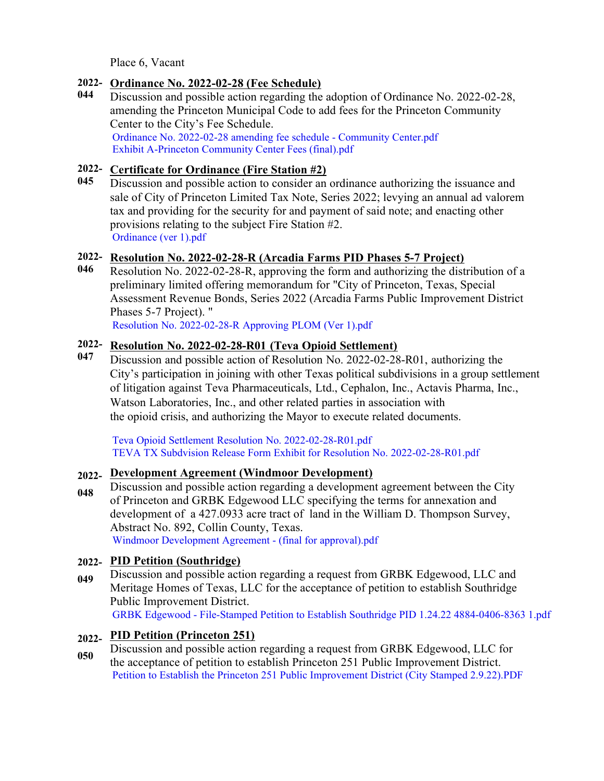Place 6, Vacant

## **2022- Ordinance No. 2022-02-28 (Fee Schedule)**

**044** Discussion and possible action regarding the adoption of Ordinance No. 2022-02-28, amending the Princeton Municipal Code to add fees for the Princeton Community Center to the City's Fee Schedule. [Ordinance No. 2022-02-28 amending fee schedule - Community Center.pdf](https://legistarweb-production.s3.amazonaws.com/uploads/attachment/pdf/1257981/Ordinance_No._2022-02-28_amending_fee_schedule_-_Community_Center.pdf) [Exhibit A-Princeton Community Center Fees \(final\).pdf](https://legistarweb-production.s3.amazonaws.com/uploads/attachment/pdf/1257983/Exhibit_A-Princeton_Community_Center_Fees__final_.pdf)

## **2022- Certificate for Ordinance (Fire Station #2)**

**045** Discussion and possible action to consider an ordinance authorizing the issuance and sale of City of Princeton Limited Tax Note, Series 2022; levying an annual ad valorem tax and providing for the security for and payment of said note; and enacting other provisions relating to the subject Fire Station #2. [Ordinance \(ver 1\).pdf](https://legistarweb-production.s3.amazonaws.com/uploads/attachment/pdf/1259118/Ordinance__ver_1_.pdf)

# **2022- Resolution No. 2022-02-28-R (Arcadia Farms PID Phases 5-7 Project)**

**046** Resolution No. 2022-02-28-R, approving the form and authorizing the distribution of a preliminary limited offering memorandum for "City of Princeton, Texas, Special Assessment Revenue Bonds, Series 2022 (Arcadia Farms Public Improvement District Phases 5-7 Project). "

[Resolution No. 2022-02-28-R Approving PLOM \(Ver 1\).pdf](https://legistarweb-production.s3.amazonaws.com/uploads/attachment/pdf/1259604/Resolution_No._2022-02-28-R_Approving_PLOM__Ver_1_.pdf)

## **2022- Resolution No. 2022-02-28-R01 (Teva Opioid Settlement)**

**047** Discussion and possible action of Resolution No. 2022-02-28-R01, authorizing the City's participation in joining with other Texas political subdivisions in a group settlement of litigation against Teva Pharmaceuticals, Ltd., Cephalon, Inc., Actavis Pharma, Inc., Watson Laboratories, Inc., and other related parties in association with the opioid crisis, and authorizing the Mayor to execute related documents.

[Teva Opioid Settlement Resolution No. 2022-02-28-R01.pdf](https://legistarweb-production.s3.amazonaws.com/uploads/attachment/pdf/1263168/Teva_Opioid_Settlement_Resolution_No._2022-02-28-R01.pdf) TEVA TX Subdvision Release Form Exhibit for Resolution No. 2022-02-28-R01.pdf

#### **2022- Development Agreement (Windmoor Development)**

**048** [Discussion and possible action regarding a development agreement between t](https://legistarweb-production.s3.amazonaws.com/uploads/attachment/pdf/1263169/TEVA_TX_Subdvision_Release_Form_Exhibit_for_Resolution_No._2022-02-28-R01.pdf)he City of Princeton and GRBK Edgewood LLC specifying the terms for annexation and development of a 427.0933 acre tract of land in the William D. Thompson Survey, Abstract No. 892, Collin County, Texas. [Windmoor Development Agreement - \(final for approval\).pdf](https://legistarweb-production.s3.amazonaws.com/uploads/attachment/pdf/1260789/Windmoor_Development_Agreement_-__final_for_approval_.pdf)

## **2022- PID Petition (Southridge)**

**049** Discussion and possible action regarding a request from GRBK Edgewood, LLC and Meritage Homes of Texas, LLC for the acceptance of petition to establish Southridge Public Improvement District. GRBK Edgewood - File-Stamped Petition to Establish Southridge PID 1.24.22 4884-0406-8363 1.pdf

# **2022- PID Petition (Princeton 251)**

**050** [Discussion and possible action regarding a request from GRBK Edgewood, LLC for](https://legistarweb-production.s3.amazonaws.com/uploads/attachment/pdf/1260666/GRBK_Edgewood_-_File-Stamped_Petition_to_Establish_Southridge_PID_1.24.22_4884-0406-8363_1.pdf) the acceptance of petition to establish Princeton 251 Public Improvement District. Petition to Establish the Princeton 251 Public Improvement District (City Stamped 2.9.22).PDF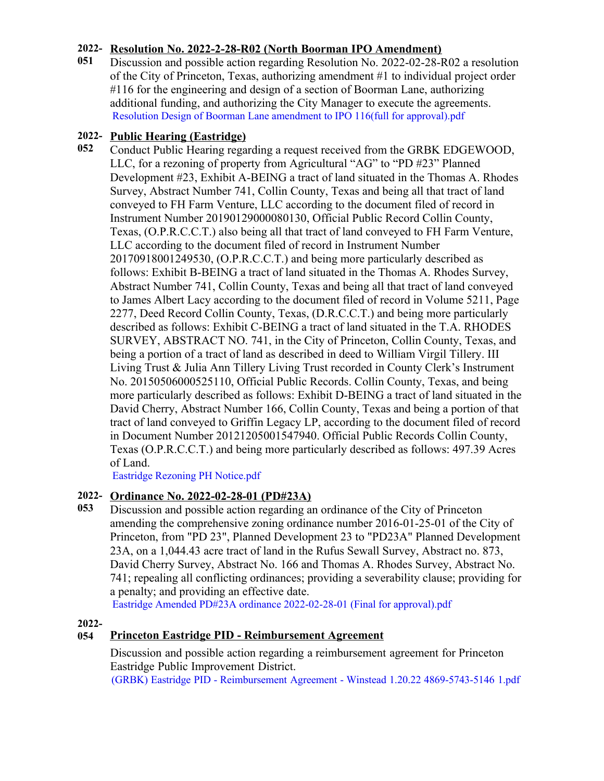# **2022- Resolution No. 2022-2-28-R02 (North Boorman IPO Amendment)**

**051** Discussion and possible action regarding Resolution No. 2022-02-28-R02 a resolution of the City of Princeton, Texas, authorizing amendment #1 to individual project order #116 for the engineering and design of a section of Boorman Lane, authorizing additional funding, and authorizing the City Manager to execute the agreements. [Resolution Design of Boorman Lane amendment to IPO 116\(full for approval\).pdf](https://legistarweb-production.s3.amazonaws.com/uploads/attachment/pdf/1260913/Resolution_Design_of_Boorman_Lane_amendment_to__IPO_116_full_for_approval_.pdf)

# **2022- Public Hearing (Eastridge)**

**052** Conduct Public Hearing regarding a request received from the GRBK EDGEWOOD, LLC, for a rezoning of property from Agricultural "AG" to "PD #23" Planned Development #23, Exhibit A-BEING a tract of land situated in the Thomas A. Rhodes Survey, Abstract Number 741, Collin County, Texas and being all that tract of land conveyed to FH Farm Venture, LLC according to the document filed of record in Instrument Number 20190129000080130, Official Public Record Collin County, Texas, (O.P.R.C.C.T.) also being all that tract of land conveyed to FH Farm Venture, LLC according to the document filed of record in Instrument Number 20170918001249530, (O.P.R.C.C.T.) and being more particularly described as follows: Exhibit B-BEING a tract of land situated in the Thomas A. Rhodes Survey, Abstract Number 741, Collin County, Texas and being all that tract of land conveyed to James Albert Lacy according to the document filed of record in Volume 5211, Page 2277, Deed Record Collin County, Texas, (D.R.C.C.T.) and being more particularly described as follows: Exhibit C-BEING a tract of land situated in the T.A. RHODES SURVEY, ABSTRACT NO. 741, in the City of Princeton, Collin County, Texas, and being a portion of a tract of land as described in deed to William Virgil Tillery. III Living Trust & Julia Ann Tillery Living Trust recorded in County Clerk's Instrument No. 20150506000525110, Official Public Records. Collin County, Texas, and being more particularly described as follows: Exhibit D-BEING a tract of land situated in the David Cherry, Abstract Number 166, Collin County, Texas and being a portion of that tract of land conveyed to Griffin Legacy LP, according to the document filed of record in Document Number 20121205001547940. Official Public Records Collin County, Texas (O.P.R.C.C.T.) and being more particularly described as follows: 497.39 Acres of Land.

[Eastridge Rezoning PH Notice.pdf](https://legistarweb-production.s3.amazonaws.com/uploads/attachment/pdf/1263196/Eastridge_Rezoning_PH_Notice.pdf)

# **2022- Ordinance No. 2022-02-28-01 (PD#23A)**

**053** Discussion and possible action regarding an ordinance of the City of Princeton amending the comprehensive zoning ordinance number 2016-01-25-01 of the City of Princeton, from "PD 23", Planned Development 23 to "PD23A" Planned Development 23A, on a 1,044.43 acre tract of land in the Rufus Sewall Survey, Abstract no. 873, David Cherry Survey, Abstract No. 166 and Thomas A. Rhodes Survey, Abstract No. 741; repealing all conflicting ordinances; providing a severability clause; providing for a penalty; and providing an effective date.

[Eastridge Amended PD#23A ordinance 2022-02-28-01 \(Final for approval\).pdf](https://legistarweb-production.s3.amazonaws.com/uploads/attachment/pdf/1260874/Eastridge_Amended_PD_23A_ordinance_2022-02-28-01__Final_for_approval_.pdf)

## **2022-**

# **054 Princeton Eastridge PID - Reimbursement Agreement**

Discussion and possible action regarding a reimbursement agreement for Princeton Eastridge Public Improvement District. (GRBK) Eastridge PID - Reimbursement Agreement - Winstead 1.20.22 4869-5743-5146 1.pdf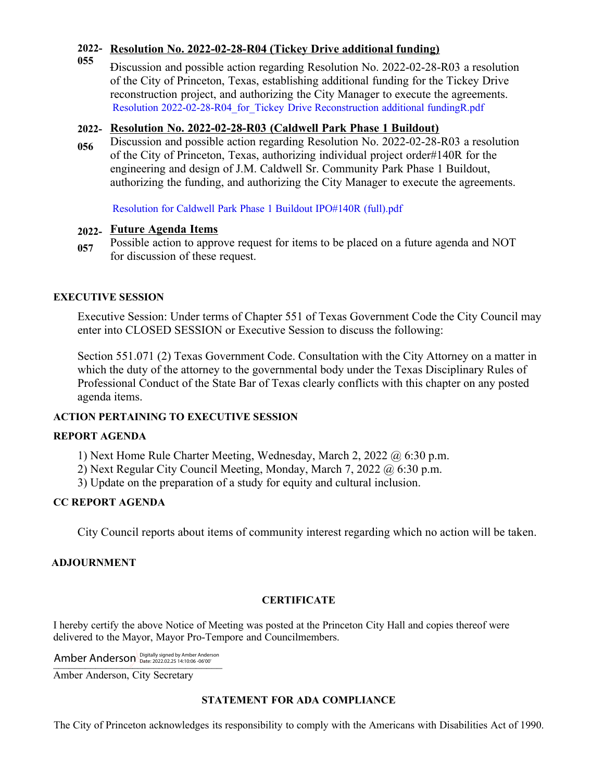## **2022- Resolution No. 2022-02-28-R04 (Tickey Drive additional funding)**

**055** Discussion and possible action regarding Resolution No. 2022-02-28-R03 a resolution of the City of Princeton, Texas, establishing additional funding for the Tickey Drive reconstruction project, and authorizing the City Manager to execute the agreements. [Resolution 2022-02-28-R04\\_for\\_Tickey Drive Reconstruction additional fundingR.pdf](https://legistarweb-production.s3.amazonaws.com/uploads/attachment/pdf/1263368/Resolution_2022-02-28-R04_for_Tickey_Drive_Reconstruction_additional_fundingR.pdf)

## **2022- Resolution No. 2022-02-28-R03 (Caldwell Park Phase 1 Buildout)**

**056** Discussion and possible action regarding Resolution No. 2022-02-28-R03 a resolution of the City of Princeton, Texas, authorizing individual project order#140R for the engineering and design of J.M. Caldwell Sr. Community Park Phase 1 Buildout, authorizing the funding, and authorizing the City Manager to execute the agreements.

[Resolution for Caldwell Park Phase 1 Buildout IPO#140R \(full\).pdf](https://legistarweb-production.s3.amazonaws.com/uploads/attachment/pdf/1260926/Resolution_for_Caldwell_Park_Phase_1_Buildout_IPO_140R__full_.pdf)

# **2022- Future Agenda Items**

**057** Possible action to approve request for items to be placed on a future agenda and NOT for discussion of these request.

## **EXECUTIVE SESSION**

Executive Session: Under terms of Chapter 551 of Texas Government Code the City Council may enter into CLOSED SESSION or Executive Session to discuss the following:

Section 551.071 (2) Texas Government Code. Consultation with the City Attorney on a matter in which the duty of the attorney to the governmental body under the Texas Disciplinary Rules of Professional Conduct of the State Bar of Texas clearly conflicts with this chapter on any posted agenda items.

## **ACTION PERTAINING TO EXECUTIVE SESSION**

## **REPORT AGENDA**

1) Next Home Rule Charter Meeting, Wednesday, March 2, 2022 @ 6:30 p.m.

- 2) Next Regular City Council Meeting, Monday, March 7, 2022 @ 6:30 p.m.
- 3) Update on the preparation of a study for equity and cultural inclusion.

# **CC REPORT AGENDA**

City Council reports about items of community interest regarding which no action will be taken.

## **ADJOURNMENT**

# **CERTIFICATE**

I hereby certify the above Notice of Meeting was posted at the Princeton City Hall and copies thereof were delivered to the Mayor, Mayor Pro-Tempore and Councilmembers.

Amber Anderson Digitally signed by Amber Anderson

Amber Anderson, City Secretary

## **STATEMENT FOR ADA COMPLIANCE**

The City of Princeton acknowledges its responsibility to comply with the Americans with Disabilities Act of 1990.